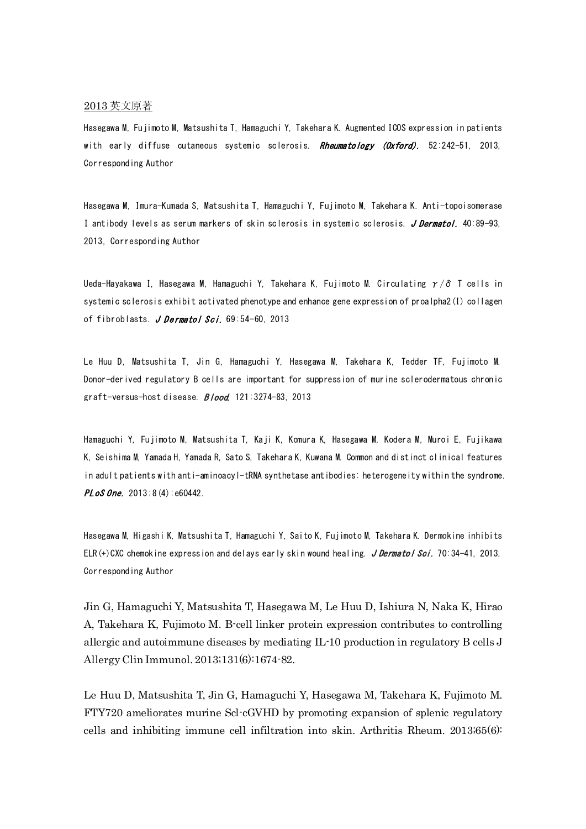## 2013 英文原著

Hasegawa M, Fujimoto M, Matsushita T, Hamaguchi Y, Takehara K. Augmented ICOS expression in patients with early diffuse cutaneous systemic sclerosis. Rheumatology (Oxford). 52:242-51, 2013, Corresponding Author

Hasegawa M, Imura-Kumada S, Matsushita T, Hamaguchi Y, Fujimoto M, Takehara K. Anti-topoisomerase I antibody levels as serum markers of skin sclerosis in systemic sclerosis. J Dermatol. 40:89-93, 2013, Corresponding Author

Ueda-Hayakawa I, Hasegawa M, Hamaguchi Y, Takehara K, Fujimoto M. [Circulating](http://www.ncbi.nlm.nih.gov/pubmed/23159281)  $\gamma/\delta$  T cells in [systemic sclerosis exhibit activated phenotype and enhance gene expression of proalpha2\(I\) collagen](http://www.ncbi.nlm.nih.gov/pubmed/23159281)  [of fibroblasts.](http://www.ncbi.nlm.nih.gov/pubmed/23159281) J Dermatol Sci. 69:54-60, 2013

Le Huu D, Matsushita T, Jin G, Hamaguchi Y, Hasegawa M, Takehara K, Tedder TF, Fujimoto M. Donor-derived regulatory B cells are important for suppression of murine sclerodermatous chronic graft-versus-host disease. **Blood.** 121:3274-83, 2013

Hamaguchi Y, Fujimoto M, Matsushita T, Kaji K, Komura K, Hasegawa M, Kodera M, Muroi E, Fujikawa K, Seishima M, Yamada H, Yamada R, Sato S, Takehara K, Kuwana M. Common and distinct clinical features in adult patients with anti-aminoacyl-tRNA synthetase antibodies: heterogeneity within the syndrome.  $PLoS$  One. 2013; 8(4):  $e60442$ .

Hasegawa M, Higashi K, Matsushita T, Hamaguchi Y, Saito K, Fujimoto M, Takehara K. Dermokine inhibits ELR(+)CXC chemokine expression and delays early skin wound healing. J Dermatol Sci. 70:34-41, 2013, Corresponding Author

Jin G, Hamaguchi Y, Matsushita T, Hasegawa M, Le Huu D, Ishiura N, Naka K, Hirao A, Takehara K, Fujimoto M. B-cell linker protein expression contributes to controlling allergic and autoimmune diseases by mediating IL-10 production in regulatory B cells J Allergy Clin Immunol. 2013;131(6):1674-82.

Le Huu D, Matsushita T, Jin G, Hamaguchi Y, Hasegawa M, Takehara K, Fujimoto M. FTY720 ameliorates murine Scl-cGVHD by promoting expansion of splenic regulatory cells and inhibiting immune cell infiltration into skin. Arthritis Rheum. 2013;65(6):